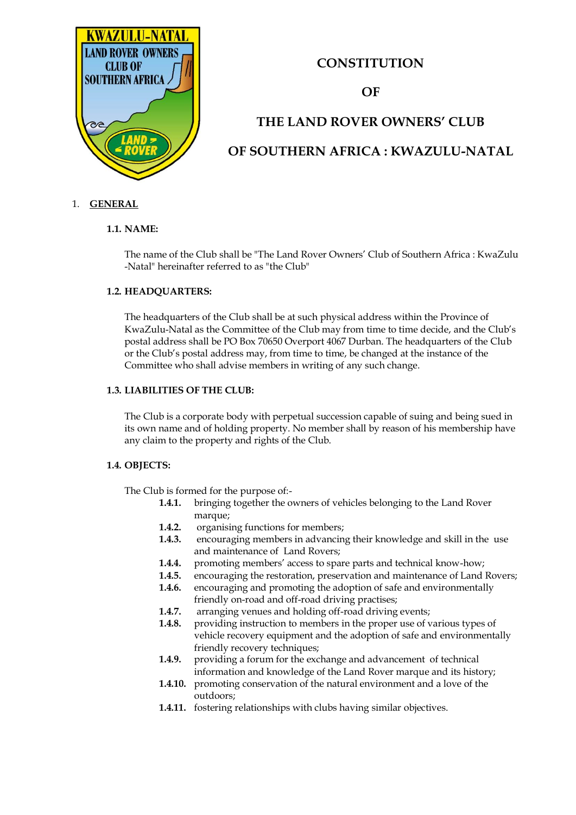

# **CONSTITUTION**

# **OF**

# **THE LAND ROVER OWNERS' CLUB OF SOUTHERN AFRICA : KWAZULU-NATAL**

# 1. **GENERAL**

# **1.1. NAME:**

The name of the Club shall be "The Land Rover Owners' Club of Southern Africa : KwaZulu -Natal" hereinafter referred to as "the Club"

# **1.2. HEADQUARTERS:**

The headquarters of the Club shall be at such physical address within the Province of KwaZulu-Natal as the Committee of the Club may from time to time decide, and the Club's postal address shall be PO Box 70650 Overport 4067 Durban. The headquarters of the Club or the Club's postal address may, from time to time, be changed at the instance of the Committee who shall advise members in writing of any such change.

# **1.3. LIABILITIES OF THE CLUB:**

The Club is a corporate body with perpetual succession capable of suing and being sued in its own name and of holding property. No member shall by reason of his membership have any claim to the property and rights of the Club.

# **1.4. OBJECTS:**

The Club is formed for the purpose of:-

- **1.4.1.** bringing together the owners of vehicles belonging to the Land Rover marque;
- **1.4.2.** organising functions for members;
- **1.4.3.** encouraging members in advancing their knowledge and skill in the use and maintenance of Land Rovers;
- **1.4.4.** promoting members' access to spare parts and technical know-how;
- **1.4.5.** encouraging the restoration, preservation and maintenance of Land Rovers;
- **1.4.6.** encouraging and promoting the adoption of safe and environmentally friendly on-road and off-road driving practises;
- **1.4.7.** arranging venues and holding off-road driving events;
- **1.4.8.** providing instruction to members in the proper use of various types of vehicle recovery equipment and the adoption of safe and environmentally friendly recovery techniques;
- **1.4.9.** providing a forum for the exchange and advancement of technical information and knowledge of the Land Rover marque and its history;
- **1.4.10.** promoting conservation of the natural environment and a love of the outdoors;
- **1.4.11.** fostering relationships with clubs having similar objectives.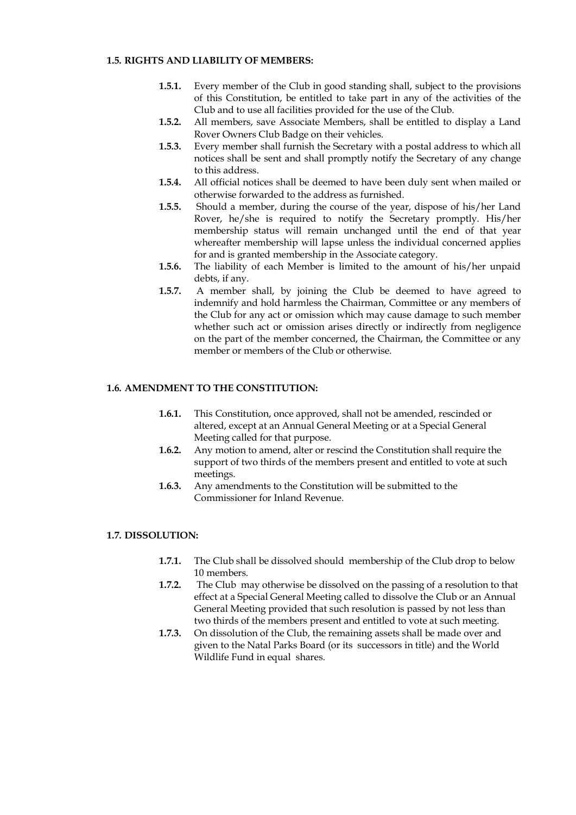#### **1.5. RIGHTS AND LIABILITY OF MEMBERS:**

- **1.5.1.** Every member of the Club in good standing shall, subject to the provisions of this Constitution, be entitled to take part in any of the activities of the Club and to use all facilities provided for the use of the Club.
- **1.5.2.** All members, save Associate Members, shall be entitled to display a Land Rover Owners Club Badge on their vehicles.
- **1.5.3.** Every member shall furnish the Secretary with a postal address to which all notices shall be sent and shall promptly notify the Secretary of any change to this address.
- **1.5.4.** All official notices shall be deemed to have been duly sent when mailed or otherwise forwarded to the address as furnished.
- **1.5.5.** Should a member, during the course of the year, dispose of his/her Land Rover, he/she is required to notify the Secretary promptly. His/her membership status will remain unchanged until the end of that year whereafter membership will lapse unless the individual concerned applies for and is granted membership in the Associate category.
- **1.5.6.** The liability of each Member is limited to the amount of his/her unpaid debts, if any.
- **1.5.7.** A member shall, by joining the Club be deemed to have agreed to indemnify and hold harmless the Chairman, Committee or any members of the Club for any act or omission which may cause damage to such member whether such act or omission arises directly or indirectly from negligence on the part of the member concerned, the Chairman, the Committee or any member or members of the Club or otherwise.

# **1.6. AMENDMENT TO THE CONSTITUTION:**

- **1.6.1.** This Constitution, once approved, shall not be amended, rescinded or altered, except at an Annual General Meeting or at a Special General Meeting called for that purpose.
- **1.6.2.** Any motion to amend, alter or rescind the Constitution shall require the support of two thirds of the members present and entitled to vote at such meetings.
- **1.6.3.** Any amendments to the Constitution will be submitted to the Commissioner for Inland Revenue.

# **1.7. DISSOLUTION:**

- **1.7.1.** The Club shall be dissolved should membership of the Club drop to below 10 members.
- **1.7.2.** The Club may otherwise be dissolved on the passing of a resolution to that effect at a Special General Meeting called to dissolve the Club or an Annual General Meeting provided that such resolution is passed by not less than two thirds of the members present and entitled to vote at such meeting.
- **1.7.3.** On dissolution of the Club, the remaining assets shall be made over and given to the Natal Parks Board (or its successors in title) and the World Wildlife Fund in equal shares.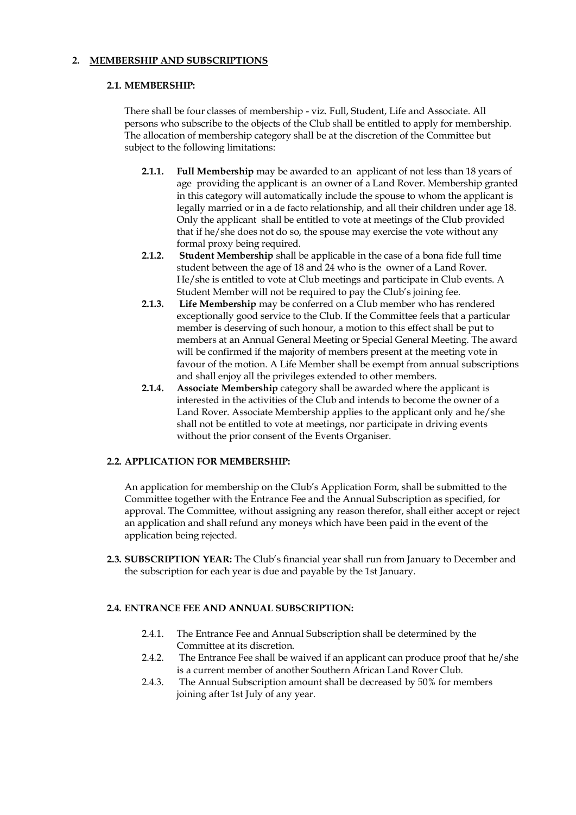# **2. MEMBERSHIP AND SUBSCRIPTIONS**

#### **2.1. MEMBERSHIP:**

There shall be four classes of membership - viz. Full, Student, Life and Associate. All persons who subscribe to the objects of the Club shall be entitled to apply for membership. The allocation of membership category shall be at the discretion of the Committee but subject to the following limitations:

- **2.1.1. Full Membership** may be awarded to an applicant of not less than 18 years of age providing the applicant is an owner of a Land Rover. Membership granted in this category will automatically include the spouse to whom the applicant is legally married or in a de facto relationship, and all their children under age 18. Only the applicant shall be entitled to vote at meetings of the Club provided that if he/she does not do so, the spouse may exercise the vote without any formal proxy being required.
- **2.1.2. Student Membership** shall be applicable in the case of a bona fide full time student between the age of 18 and 24 who is the owner of a Land Rover. He/she is entitled to vote at Club meetings and participate in Club events. A Student Member will not be required to pay the Club's joining fee.
- **2.1.3. Life Membership** may be conferred on a Club member who has rendered exceptionally good service to the Club. If the Committee feels that a particular member is deserving of such honour, a motion to this effect shall be put to members at an Annual General Meeting or Special General Meeting. The award will be confirmed if the majority of members present at the meeting vote in favour of the motion. A Life Member shall be exempt from annual subscriptions and shall enjoy all the privileges extended to other members.
- **2.1.4. Associate Membership** category shall be awarded where the applicant is interested in the activities of the Club and intends to become the owner of a Land Rover. Associate Membership applies to the applicant only and he/she shall not be entitled to vote at meetings, nor participate in driving events without the prior consent of the Events Organiser.

# **2.2. APPLICATION FOR MEMBERSHIP:**

An application for membership on the Club's Application Form, shall be submitted to the Committee together with the Entrance Fee and the Annual Subscription as specified, for approval. The Committee, without assigning any reason therefor, shall either accept or reject an application and shall refund any moneys which have been paid in the event of the application being rejected.

**2.3. SUBSCRIPTION YEAR:** The Club's financial year shall run from January to December and the subscription for each year is due and payable by the 1st January.

# **2.4. ENTRANCE FEE AND ANNUAL SUBSCRIPTION:**

- 2.4.1. The Entrance Fee and Annual Subscription shall be determined by the Committee at its discretion.
- 2.4.2. The Entrance Fee shall be waived if an applicant can produce proof that he/she is a current member of another Southern African Land Rover Club.
- 2.4.3. The Annual Subscription amount shall be decreased by 50% for members joining after 1st July of any year.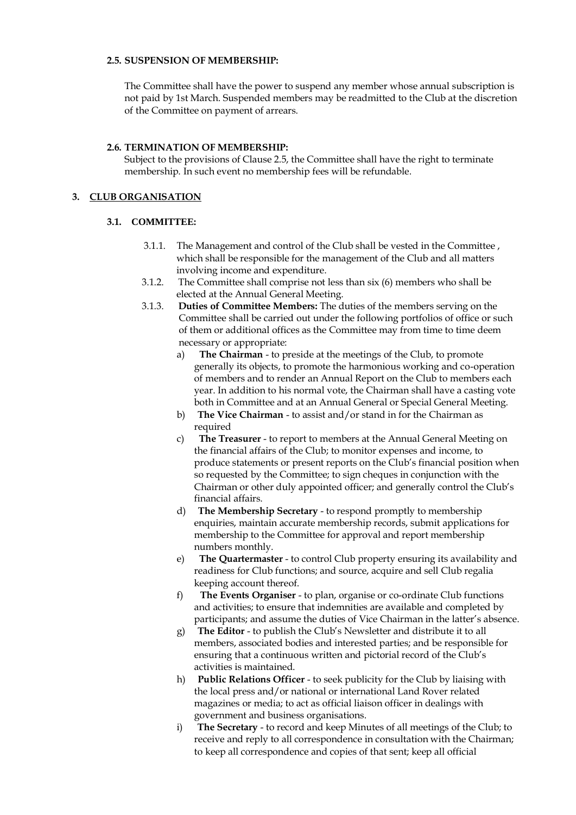#### **2.5. SUSPENSION OF MEMBERSHIP:**

The Committee shall have the power to suspend any member whose annual subscription is not paid by 1st March. Suspended members may be readmitted to the Club at the discretion of the Committee on payment of arrears.

#### **2.6. TERMINATION OF MEMBERSHIP:**

Subject to the provisions of Clause 2.5, the Committee shall have the right to terminate membership. In such event no membership fees will be refundable.

# **3. CLUB ORGANISATION**

# **3.1. COMMITTEE:**

- 3.1.1. The Management and control of the Club shall be vested in the Committee , which shall be responsible for the management of the Club and all matters involving income and expenditure.
- 3.1.2. The Committee shall comprise not less than six (6) members who shall be elected at the Annual General Meeting.
- 3.1.3. **Duties of Committee Members:** The duties of the members serving on the Committee shall be carried out under the following portfolios of office or such of them or additional offices as the Committee may from time to time deem necessary or appropriate:
	- a) **The Chairman** to preside at the meetings of the Club, to promote generally its objects, to promote the harmonious working and co-operation of members and to render an Annual Report on the Club to members each year. In addition to his normal vote, the Chairman shall have a casting vote both in Committee and at an Annual General or Special General Meeting.
	- b) **The Vice Chairman** to assist and/or stand in for the Chairman as required
	- c) **The Treasurer** to report to members at the Annual General Meeting on the financial affairs of the Club; to monitor expenses and income, to produce statements or present reports on the Club's financial position when so requested by the Committee; to sign cheques in conjunction with the Chairman or other duly appointed officer; and generally control the Club's financial affairs.
	- d) **The Membership Secretary** to respond promptly to membership enquiries, maintain accurate membership records, submit applications for membership to the Committee for approval and report membership numbers monthly.
	- e) **The Quartermaster** to control Club property ensuring its availability and readiness for Club functions; and source, acquire and sell Club regalia keeping account thereof.
	- f) **The Events Organiser** to plan, organise or co-ordinate Club functions and activities; to ensure that indemnities are available and completed by participants; and assume the duties of Vice Chairman in the latter's absence.
	- g) **The Editor**  to publish the Club's Newsletter and distribute it to all members, associated bodies and interested parties; and be responsible for ensuring that a continuous written and pictorial record of the Club's activities is maintained.
	- h) **Public Relations Officer**  to seek publicity for the Club by liaising with the local press and/or national or international Land Rover related magazines or media; to act as official liaison officer in dealings with government and business organisations.
	- i) **The Secretary** to record and keep Minutes of all meetings of the Club; to receive and reply to all correspondence in consultation with the Chairman; to keep all correspondence and copies of that sent; keep all official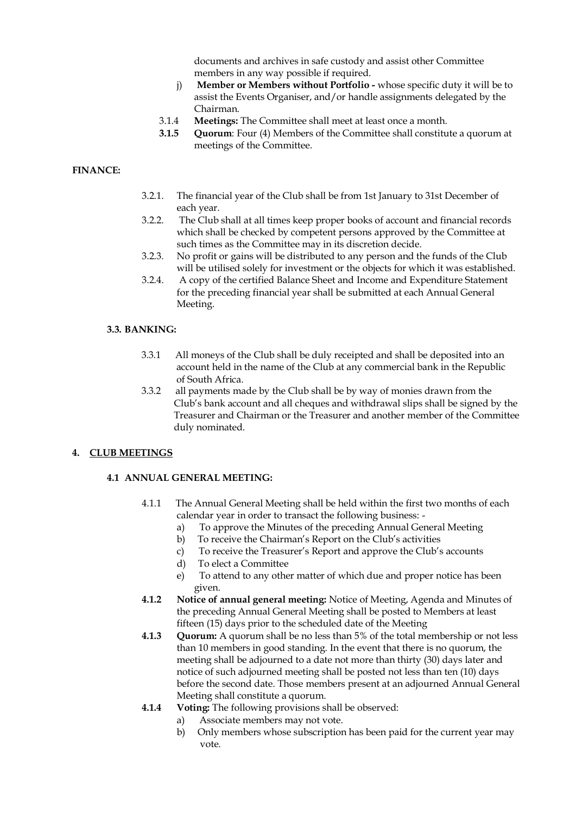documents and archives in safe custody and assist other Committee members in any way possible if required.

- j) **Member or Members without Portfolio -** whose specific duty it will be to assist the Events Organiser, and/or handle assignments delegated by the Chairman.
- 3.1.4 **Meetings:** The Committee shall meet at least once a month.
- **3.1.5 Quorum**: Four (4) Members of the Committee shall constitute a quorum at meetings of the Committee.

# **FINANCE:**

- 3.2.1. The financial year of the Club shall be from 1st January to 31st December of each year.
- 3.2.2. The Club shall at all times keep proper books of account and financial records which shall be checked by competent persons approved by the Committee at such times as the Committee may in its discretion decide.
- 3.2.3. No profit or gains will be distributed to any person and the funds of the Club will be utilised solely for investment or the objects for which it was established.
- 3.2.4. A copy of the certified Balance Sheet and Income and Expenditure Statement for the preceding financial year shall be submitted at each Annual General Meeting.

# **3.3. BANKING:**

- 3.3.1 All moneys of the Club shall be duly receipted and shall be deposited into an account held in the name of the Club at any commercial bank in the Republic of South Africa.
- 3.3.2 all payments made by the Club shall be by way of monies drawn from the Club's bank account and all cheques and withdrawal slips shall be signed by the Treasurer and Chairman or the Treasurer and another member of the Committee duly nominated.

# **4. CLUB MEETINGS**

# **4.1 ANNUAL GENERAL MEETING:**

- 4.1.1 The Annual General Meeting shall be held within the first two months of each calendar year in order to transact the following business:
	- a) To approve the Minutes of the preceding Annual General Meeting
	- b) To receive the Chairman's Report on the Club's activities
	- c) To receive the Treasurer's Report and approve the Club's accounts
	- d) To elect a Committee
	- e) To attend to any other matter of which due and proper notice has been given.
- **4.1.2 Notice of annual general meeting:** Notice of Meeting, Agenda and Minutes of the preceding Annual General Meeting shall be posted to Members at least fifteen (15) days prior to the scheduled date of the Meeting
- **4.1.3 Quorum:** A quorum shall be no less than 5% of the total membership or not less than 10 members in good standing. In the event that there is no quorum, the meeting shall be adjourned to a date not more than thirty (30) days later and notice of such adjourned meeting shall be posted not less than ten (10) days before the second date. Those members present at an adjourned Annual General Meeting shall constitute a quorum.
- **4.1.4 Voting:** The following provisions shall be observed:
	- a) Associate members may not vote.
	- b) Only members whose subscription has been paid for the current year may vote.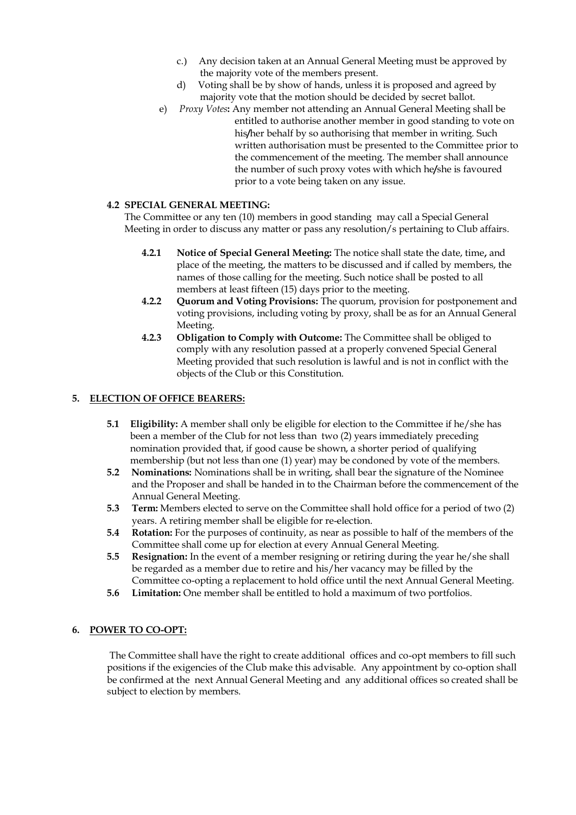- c.) Any decision taken at an Annual General Meeting must be approved by the majority vote of the members present.
- d) Voting shall be by show of hands, unless it is proposed and agreed by majority vote that the motion should be decided by secret ballot.
- e) *Proxy Votes***:** Any member not attending an Annual General Meeting shall be entitled to authorise another member in good standing to vote on his**/**her behalf by so authorising that member in writing. Such written authorisation must be presented to the Committee prior to the commencement of the meeting. The member shall announce the number of such proxy votes with which he**/**she is favoured prior to a vote being taken on any issue.

# **4.2 SPECIAL GENERAL MEETING:**

The Committee or any ten (10) members in good standing may call a Special General Meeting in order to discuss any matter or pass any resolution/s pertaining to Club affairs.

- **4.2.1 Notice of Special General Meeting:** The notice shall state the date, time**,** and place of the meeting, the matters to be discussed and if called by members, the names of those calling for the meeting. Such notice shall be posted to all members at least fifteen (15) days prior to the meeting.
- **4.2.2 Quorum and Voting Provisions:** The quorum, provision for postponement and voting provisions, including voting by proxy, shall be as for an Annual General Meeting.
- **4.2.3 Obligation to Comply with Outcome:** The Committee shall be obliged to comply with any resolution passed at a properly convened Special General Meeting provided that such resolution is lawful and is not in conflict with the objects of the Club or this Constitution.

# **5. ELECTION OF OFFICE BEARERS:**

- **5.1 Eligibility:** A member shall only be eligible for election to the Committee if he/she has been a member of the Club for not less than two (2) years immediately preceding nomination provided that, if good cause be shown, a shorter period of qualifying membership (but not less than one (1) year) may be condoned by vote of the members.
- **5.2 Nominations:** Nominations shall be in writing, shall bear the signature of the Nominee and the Proposer and shall be handed in to the Chairman before the commencement of the Annual General Meeting.
- **5.3 Term:** Members elected to serve on the Committee shall hold office for a period of two (2) years. A retiring member shall be eligible for re-election.
- **5.4 Rotation:** For the purposes of continuity, as near as possible to half of the members of the Committee shall come up for election at every Annual General Meeting.
- **5.5 Resignation:** In the event of a member resigning or retiring during the year he/she shall be regarded as a member due to retire and his/her vacancy may be filled by the Committee co-opting a replacement to hold office until the next Annual General Meeting.
- **5.6 Limitation:** One member shall be entitled to hold a maximum of two portfolios.

# **6. POWER TO CO-OPT:**

The Committee shall have the right to create additional offices and co-opt members to fill such positions if the exigencies of the Club make this advisable. Any appointment by co-option shall be confirmed at the next Annual General Meeting and any additional offices so created shall be subject to election by members.